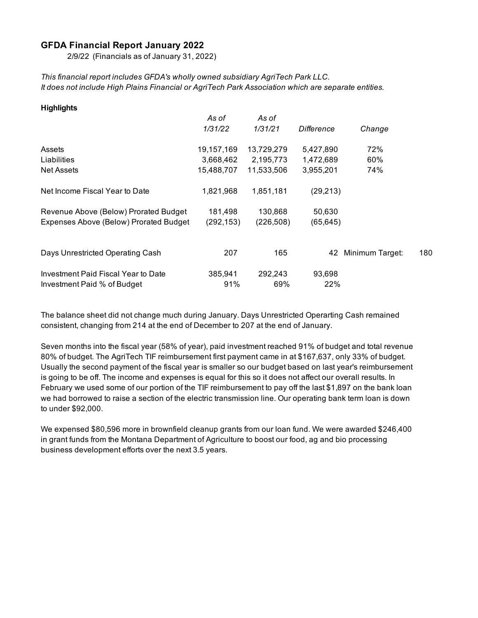#### **GFDA Financial Report January 2022**

2/9/22 (Financials as of January 31, 2022)

*This financial report includes GFDA's wholly owned subsidiary AgriTech Park LLC. It does not include High Plains Financial or AgriTech Park Association which are separate entities.*

| <b>Highlights</b>                      |            |            |            |                 |     |
|----------------------------------------|------------|------------|------------|-----------------|-----|
|                                        | As of      | As of      |            |                 |     |
|                                        | 1/31/22    | 1/31/21    | Difference | Change          |     |
| Assets                                 | 19,157,169 | 13,729,279 | 5,427,890  | 72%             |     |
| Liabilities                            | 3,668,462  | 2,195,773  | 1,472,689  | 60%             |     |
| <b>Net Assets</b>                      | 15,488,707 | 11,533,506 | 3,955,201  | 74%             |     |
| Net Income Fiscal Year to Date         | 1,821,968  | 1,851,181  | (29, 213)  |                 |     |
| Revenue Above (Below) Prorated Budget  | 181,498    | 130,868    | 50,630     |                 |     |
| Expenses Above (Below) Prorated Budget | (292, 153) | (226, 508) | (65, 645)  |                 |     |
|                                        |            |            |            |                 |     |
| Days Unrestricted Operating Cash       | 207        | 165        | 42         | Minimum Target: | 180 |
| Investment Paid Fiscal Year to Date    | 385,941    | 292,243    | 93,698     |                 |     |
| Investment Paid % of Budget            | 91%        | 69%        | 22%        |                 |     |

The balance sheet did not change much during January. Days Unrestricted Operarting Cash remained consistent, changing from 214 at the end of December to 207 at the end of January.

Seven months into the fiscal year (58% of year), paid investment reached 91% of budget and total revenue 80% of budget. The AgriTech TIF reimbursement first payment came in at \$167,637, only 33% of budget. Usually the second payment of the fiscal year is smaller so our budget based on last year's reimbursement is going to be off. The income and expenses is equal for this so it does not affect our overall results. In February we used some of our portion of the TIF reimbursement to pay off the last \$1,897 on the bank loan we had borrowed to raise a section of the electric transmission line. Our operating bank term loan is down to under \$92,000.

We expensed \$80,596 more in brownfield cleanup grants from our loan fund. We were awarded \$246,400 in grant funds from the Montana Department of Agriculture to boost our food, ag and bio processing business development efforts over the next 3.5 years.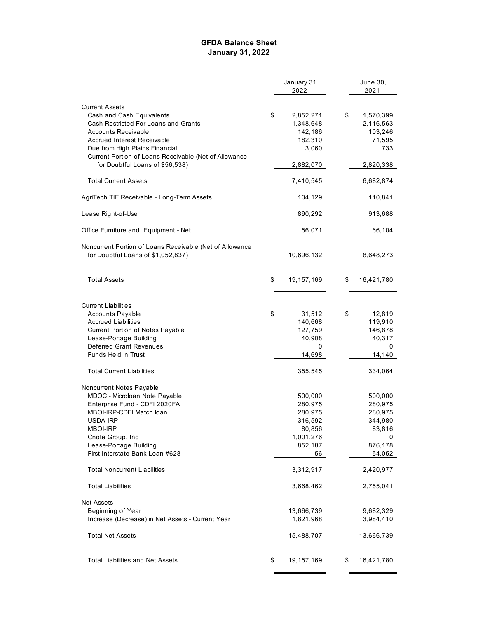#### **GFDA Balance Sheet January 31, 2022**

|                                                          | January 31<br>2022 | June 30,<br>2021 |
|----------------------------------------------------------|--------------------|------------------|
|                                                          |                    |                  |
| <b>Current Assets</b>                                    |                    |                  |
| Cash and Cash Equivalents                                | \$<br>2,852,271    | \$<br>1,570,399  |
| Cash Restricted For Loans and Grants                     | 1,348,648          | 2,116,563        |
| Accounts Receivable                                      | 142,186            | 103,246          |
| <b>Accrued Interest Receivable</b>                       | 182,310            | 71,595           |
| Due from High Plains Financial                           | 3,060              | 733              |
| Current Portion of Loans Receivable (Net of Allowance    |                    |                  |
| for Doubtful Loans of \$56,538)                          | 2,882,070          | 2,820,338        |
| <b>Total Current Assets</b>                              | 7,410,545          | 6,682,874        |
| AgriTech TIF Receivable - Long-Term Assets               | 104,129            | 110,841          |
| Lease Right-of-Use                                       | 890,292            | 913,688          |
| Office Furniture and Equipment - Net                     | 56,071             | 66,104           |
| Noncurrent Portion of Loans Receivable (Net of Allowance |                    |                  |
| for Doubtful Loans of \$1,052,837)                       | 10,696,132         | 8,648,273        |
| <b>Total Assets</b>                                      | \$<br>19,157,169   | \$<br>16,421,780 |
| <b>Current Liabilities</b>                               |                    |                  |
| <b>Accounts Payable</b>                                  | \$<br>31,512       | \$<br>12,819     |
| <b>Accrued Liabilities</b>                               | 140,668            | 119,910          |
| Current Portion of Notes Payable                         | 127,759            | 146,878          |
| Lease-Portage Building                                   | 40,908             | 40,317           |
| <b>Deferred Grant Revenues</b>                           | 0                  | 0                |
| Funds Held in Trust                                      | 14,698             | 14,140           |
| <b>Total Current Liabilities</b>                         | 355,545            | 334,064          |
| Noncurrent Notes Payable                                 |                    |                  |
| MDOC - Microloan Note Payable                            | 500,000            | 500,000          |
| Enterprise Fund - CDFI 2020FA                            | 280,975            | 280,975          |
| MBOI-IRP-CDFI Match loan                                 | 280,975            | 280,975          |
| USDA-IRP                                                 | 316,592            | 344,980          |
| MBOI-IRP                                                 | 80,856             | 83,816           |
| Cnote Group, Inc.                                        | 1,001,276          | 0                |
| Lease-Portage Building                                   | 852,187            | 876,178          |
| First Interstate Bank Loan-#628                          | 56                 | 54,052           |
| <b>Total Noncurrent Liabilities</b>                      | 3,312,917          | 2,420,977        |
| Total Liabilities                                        | 3,668,462          | 2,755,041        |
| <b>Net Assets</b>                                        |                    |                  |
| Beginning of Year                                        | 13,666,739         | 9,682,329        |
| Increase (Decrease) in Net Assets - Current Year         | 1,821,968          | 3,984,410        |
| <b>Total Net Assets</b>                                  | 15,488,707         | 13,666,739       |
| <b>Total Liabilities and Net Assets</b>                  | \$<br>19,157,169   | \$<br>16,421,780 |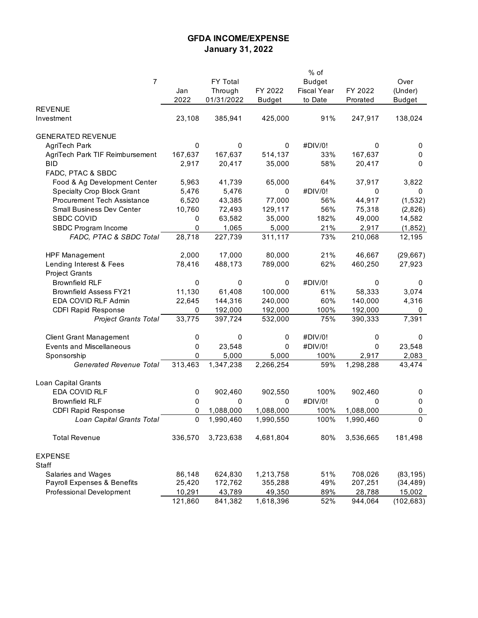## **GFDA INCOME/EXPENSE January 31, 2022**

|                                    |         |            |               | % of               |           |               |
|------------------------------------|---------|------------|---------------|--------------------|-----------|---------------|
| 7                                  |         | FY Total   |               | <b>Budget</b>      |           | Over          |
|                                    | Jan     | Through    | FY 2022       | <b>Fiscal Year</b> | FY 2022   | (Under)       |
|                                    | 2022    | 01/31/2022 | <b>Budget</b> | to Date            | Prorated  | <b>Budget</b> |
| <b>REVENUE</b>                     |         |            |               |                    |           |               |
| Investment                         | 23,108  | 385,941    | 425,000       | 91%                | 247,917   | 138,024       |
|                                    |         |            |               |                    |           |               |
| <b>GENERATED REVENUE</b>           |         |            |               |                    |           |               |
| AgriTech Park                      | 0       | 0          | 0             | #DIV/0!            | 0         | 0             |
| AgriTech Park TIF Reimbursement    | 167,637 | 167,637    | 514,137       | 33%                | 167,637   | 0             |
| <b>BID</b>                         | 2,917   | 20,417     | 35,000        | 58%                | 20,417    | 0             |
| FADC, PTAC & SBDC                  |         |            |               |                    |           |               |
|                                    |         |            | 65,000        |                    |           |               |
| Food & Ag Development Center       | 5,963   | 41,739     |               | 64%                | 37,917    | 3,822         |
| Specialty Crop Block Grant         | 5,476   | 5,476      | 0             | #DIV/0!            | 0         | 0             |
| <b>Procurement Tech Assistance</b> | 6,520   | 43,385     | 77,000        | 56%                | 44,917    | (1, 532)      |
| Small Business Dev Center          | 10,760  | 72,493     | 129,117       | 56%                | 75,318    | (2,826)       |
| <b>SBDC COVID</b>                  | 0       | 63,582     | 35,000        | 182%               | 49,000    | 14,582        |
| SBDC Program Income                | 0       | 1,065      | 5,000         | 21%                | 2,917     | (1, 852)      |
| FADC, PTAC & SBDC Total            | 28,718  | 227,739    | 311,117       | 73%                | 210,068   | 12,195        |
|                                    |         |            |               |                    |           |               |
| <b>HPF Management</b>              | 2,000   | 17,000     | 80,000        | 21%                | 46,667    | (29, 667)     |
| Lending Interest & Fees            | 78,416  | 488,173    | 789,000       | 62%                | 460,250   | 27,923        |
| <b>Project Grants</b>              |         |            |               |                    |           |               |
| <b>Brownfield RLF</b>              | 0       | 0          | 0             | #DIV/0!            | 0         | 0             |
| <b>Brownfield Assess FY21</b>      | 11,130  | 61,408     | 100,000       | 61%                | 58,333    | 3,074         |
| EDA COVID RLF Admin                | 22,645  | 144,316    | 240,000       | 60%                | 140,000   | 4,316         |
| <b>CDFI Rapid Response</b>         | 0       | 192,000    | 192,000       | 100%               | 192,000   | 0             |
| <b>Project Grants Total</b>        | 33,775  | 397,724    | 532,000       | 75%                | 390,333   | 7,391         |
|                                    |         |            |               |                    |           |               |
| <b>Client Grant Management</b>     | 0       | 0          | 0             | #DIV/0!            | 0         | 0             |
| <b>Events and Miscellaneous</b>    | 0       | 23,548     | 0             | #DIV/0!            | 0         | 23,548        |
| Sponsorship                        | 0       | 5,000      | 5,000         | 100%               | 2,917     | 2,083         |
| <b>Generated Revenue Total</b>     | 313,463 | 1,347,238  | 2,266,254     | 59%                | 1,298,288 | 43,474        |
|                                    |         |            |               |                    |           |               |
| Loan Capital Grants                |         |            |               |                    |           |               |
| EDA COVID RLF                      |         | 902,460    | 902,550       | 100%               | 902,460   |               |
|                                    | 0       |            |               |                    |           | 0             |
| <b>Brownfield RLF</b>              | 0       | 0          | 0             | #DIV/0!            | 0         | 0             |
| <b>CDFI Rapid Response</b>         | 0       | 1,088,000  | 1,088,000     | 100%               | 1,088,000 | 0             |
| Loan Capital Grants Total          | 0       | 1,990,460  | 1,990,550     | 100%               | 1,990,460 | $\pmb{0}$     |
|                                    |         |            |               |                    |           |               |
| <b>Total Revenue</b>               | 336,570 | 3,723,638  | 4,681,804     | 80%                | 3,536,665 | 181,498       |
|                                    |         |            |               |                    |           |               |
| <b>EXPENSE</b>                     |         |            |               |                    |           |               |
| Staff                              |         |            |               |                    |           |               |
| Salaries and Wages                 | 86,148  | 624,830    | 1,213,758     | 51%                | 708,026   | (83, 195)     |
| Payroll Expenses & Benefits        | 25,420  | 172,762    | 355,288       | 49%                | 207,251   | (34, 489)     |
| Professional Development           | 10,291  | 43,789     | 49,350        | 89%                | 28,788    | 15,002        |
|                                    | 121,860 | 841,382    | 1,618,396     | 52%                | 944,064   | (102, 683)    |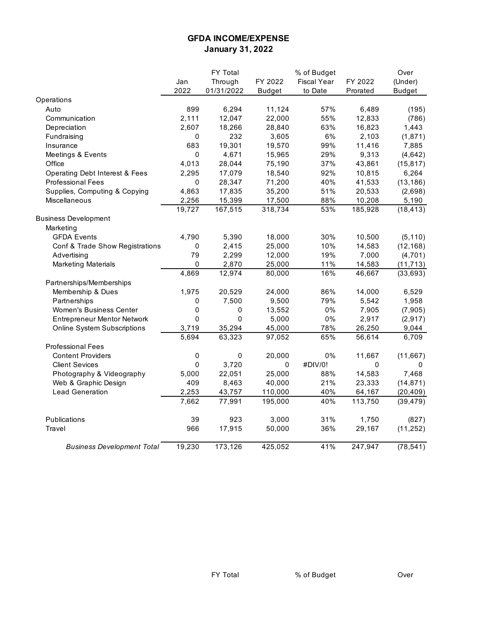## **GFDA INCOME/EXPENSE January 31, 2022**

|                                           |             | FY Total    |               | % of Budget        |          | Over          |
|-------------------------------------------|-------------|-------------|---------------|--------------------|----------|---------------|
|                                           | Jan         | Through     | FY 2022       | <b>Fiscal Year</b> | FY 2022  | (Under)       |
|                                           | 2022        | 01/31/2022  | <b>Budget</b> | to Date            | Prorated | <b>Budget</b> |
| Operations                                |             |             |               |                    |          |               |
| Auto                                      | 899         | 6,294       | 11,124        | 57%                | 6,489    | (195)         |
| Communication                             | 2,111       | 12,047      | 22,000        | 55%                | 12,833   | (786)         |
| Depreciation                              | 2,607       | 18,266      | 28,840        | 63%                | 16,823   | 1,443         |
| Fundraising                               | 0           | 232         | 3,605         | 6%                 | 2,103    | (1, 871)      |
| Insurance                                 | 683         | 19,301      | 19,570        | 99%                | 11,416   | 7,885         |
| Meetings & Events                         | $\pmb{0}$   | 4,671       | 15,965        | 29%                | 9,313    | (4, 642)      |
| Office                                    | 4,013       | 28,044      | 75,190        | 37%                | 43,861   | (15, 817)     |
| <b>Operating Debt Interest &amp; Fees</b> | 2,295       | 17,079      | 18,540        | 92%                | 10,815   | 6,264         |
| <b>Professional Fees</b>                  | 0           | 28,347      | 71,200        | 40%                | 41,533   | (13, 186)     |
| Supplies, Computing & Copying             | 4,863       | 17,835      | 35,200        | 51%                | 20,533   | (2,698)       |
| <b>Miscellaneous</b>                      | 2,256       | 15,399      | 17,500        | 88%                | 10,208   | 5,190         |
|                                           | 19,727      | 167,515     | 318,734       | 53%                | 185,928  | (18, 413)     |
| <b>Business Development</b>               |             |             |               |                    |          |               |
| Marketing                                 |             |             |               |                    |          |               |
| <b>GFDA Events</b>                        | 4,790       | 5,390       | 18,000        | 30%                | 10,500   | (5, 110)      |
| Conf & Trade Show Registrations           | $\pmb{0}$   | 2,415       | 25,000        | 10%                | 14,583   | (12, 168)     |
| Advertising                               | 79          | 2,299       | 12,000        | 19%                | 7,000    | (4, 701)      |
| <b>Marketing Materials</b>                | 0           | 2,870       | 25,000        | 11%                | 14,583   | (11, 713)     |
|                                           | 4,869       | 12,974      | 80,000        | 16%                | 46,667   | (33, 693)     |
| Partnerships/Memberships                  |             |             |               |                    |          |               |
| Membership & Dues                         | 1,975       | 20,529      | 24,000        | 86%                | 14,000   | 6,529         |
| Partnerships                              | 0           | 7,500       | 9,500         | 79%                | 5,542    | 1,958         |
| Women's Business Center                   | $\pmb{0}$   | 0           | 13,552        | 0%                 | 7,905    | (7,905)       |
| <b>Entrepreneur Mentor Network</b>        | $\mathbf 0$ | $\mathbf 0$ | 5,000         | $0\%$              | 2,917    | (2, 917)      |
| <b>Online System Subscriptions</b>        | 3,719       | 35,294      | 45,000        | 78%                | 26,250   | 9,044         |
|                                           | 5,694       | 63,323      | 97,052        | 65%                | 56,614   | 6,709         |
| <b>Professional Fees</b>                  |             |             |               |                    |          |               |
| <b>Content Providers</b>                  | $\pmb{0}$   | $\pmb{0}$   | 20,000        | 0%                 | 11,667   | (11, 667)     |
| <b>Client Sevices</b>                     | 0           | 3,720       | 0             | #DIV/0!            | 0        | 0             |
| Photography & Videography                 | 5,000       | 22,051      | 25,000        | 88%                | 14,583   | 7,468         |
| Web & Graphic Design                      | 409         | 8,463       | 40,000        | 21%                | 23,333   | (14, 871)     |
| <b>Lead Generation</b>                    | 2,253       | 43,757      | 110,000       | 40%                | 64,167   | (20, 409)     |
|                                           | 7,662       | 77,991      | 195,000       | 40%                | 113,750  | (39, 479)     |
| Publications                              | 39          | 923         | 3,000         | 31%                | 1,750    | (827)         |
| Travel                                    | 966         | 17,915      | 50,000        | 36%                | 29,167   | (11, 252)     |
| <b>Business Development Total</b>         |             |             |               |                    |          |               |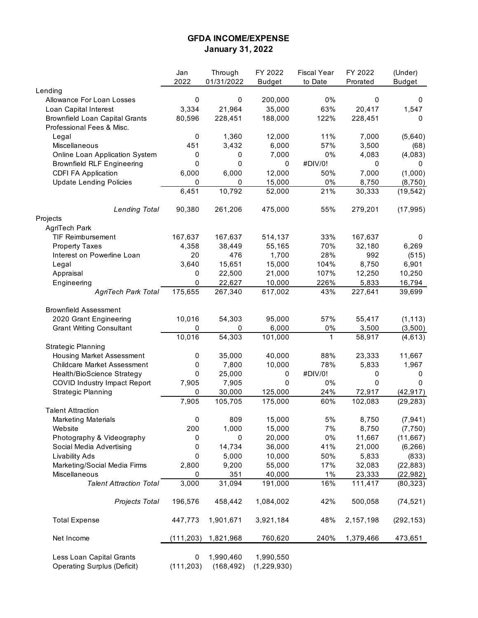## **GFDA INCOME/EXPENSE January 31, 2022**

|                                                                | Jan             | Through                 | FY 2022                  | <b>Fiscal Year</b> | FY 2022           | (Under)                |
|----------------------------------------------------------------|-----------------|-------------------------|--------------------------|--------------------|-------------------|------------------------|
|                                                                | 2022            | 01/31/2022              | <b>Budget</b>            | to Date            | Prorated          | <b>Budget</b>          |
| Lending                                                        |                 |                         |                          |                    |                   |                        |
| Allowance For Loan Losses                                      | $\mathbf 0$     | $\mathbf 0$             | 200,000                  | $0\%$              | $\mathbf 0$       | 0                      |
| Loan Capital Interest                                          | 3,334           | 21,964                  | 35,000                   | 63%                | 20,417            | 1,547                  |
| <b>Brownfield Loan Capital Grants</b>                          | 80,596          | 228,451                 | 188,000                  | 122%               | 228,451           | 0                      |
| Professional Fees & Misc.<br>Legal                             | 0               | 1,360                   | 12,000                   | 11%                | 7,000             | (5,640)                |
| Miscellaneous                                                  | 451             | 3,432                   | 6,000                    | 57%                | 3,500             | (68)                   |
| Online Loan Application System                                 | 0               | $\mathbf 0$             | 7,000                    | 0%                 | 4,083             | (4,083)                |
| <b>Brownfield RLF Engineering</b>                              | 0               | 0                       | 0                        | #DIV/0!            | 0                 | 0                      |
| <b>CDFI FA Application</b>                                     | 6,000           | 6,000                   | 12,000                   | 50%                | 7,000             | (1,000)                |
| <b>Update Lending Policies</b>                                 | 0               | 0                       | 15,000                   | 0%                 | 8,750             | (8, 750)               |
|                                                                | 6,451           | 10,792                  | 52,000                   | 21%                | 30,333            | (19, 542)              |
| <b>Lending Total</b>                                           | 90,380          | 261,206                 | 475,000                  | 55%                | 279,201           | (17, 995)              |
| Projects                                                       |                 |                         |                          |                    |                   |                        |
| AgriTech Park                                                  |                 |                         |                          |                    |                   |                        |
| <b>TIF Reimbursement</b>                                       | 167,637         | 167,637                 | 514,137                  | 33%                | 167,637           | 0                      |
| <b>Property Taxes</b>                                          | 4,358           | 38,449                  | 55,165                   | 70%                | 32,180            | 6,269                  |
| Interest on Powerline Loan                                     | 20              | 476                     | 1,700                    | 28%                | 992               | (515)                  |
| Legal                                                          | 3,640           | 15,651                  | 15,000                   | 104%               | 8,750             | 6,901                  |
| Appraisal                                                      | 0               | 22,500                  | 21,000                   | 107%               | 12,250            | 10,250                 |
| Engineering                                                    | 0               | 22,627                  | 10,000                   | 226%               | 5,833             | 16,794                 |
| <b>AgriTech Park Total</b>                                     | 175,655         | 267,340                 | 617,002                  | 43%                | 227,641           | 39,699                 |
| <b>Brownfield Assessment</b>                                   |                 |                         |                          |                    |                   |                        |
| 2020 Grant Engineering                                         | 10,016          | 54,303                  | 95,000                   | 57%                | 55,417            | (1, 113)               |
| <b>Grant Writing Consultant</b>                                | 0               | 0                       | 6,000                    | 0%                 | 3,500             | (3,500)                |
|                                                                | 10,016          | 54,303                  | 101,000                  | $\mathbf{1}$       | 58,917            | (4, 613)               |
| <b>Strategic Planning</b>                                      |                 |                         |                          |                    |                   |                        |
| <b>Housing Market Assessment</b>                               | 0               | 35,000                  | 40,000                   | 88%                | 23,333            | 11,667                 |
| <b>Childcare Market Assessment</b>                             | $\mathbf 0$     | 7,800                   | 10,000                   | 78%                | 5,833             | 1,967                  |
| Health/BioScience Strategy                                     | 0               | 25,000                  | 0                        | #DIV/0!            | 0                 | 0                      |
| COVID Industry Impact Report                                   | 7,905           | 7,905                   | 0                        | $0\%$              | 0                 | 0                      |
| <b>Strategic Planning</b>                                      | 0               | 30,000                  | 125,000                  | 24%                | 72,917            | (42, 917)              |
|                                                                | 7,905           | 105,705                 | 175,000                  | 60%                | 102,083           | (29, 283)              |
| <b>Talent Attraction</b>                                       |                 |                         |                          |                    |                   |                        |
| <b>Marketing Materials</b>                                     | 0               | 809                     | 15,000                   | $5\%$              | 8,750             | (7, 941)               |
| Website                                                        | 200             | 1,000                   | 15,000                   | 7%                 | 8,750             | (7, 750)               |
| Photography & Videography                                      | 0               | 0                       | 20,000                   | $0\%$              | 11,667            | (11, 667)              |
| Social Media Advertising                                       | 0               | 14,734                  | 36,000                   | 41%                | 21,000            | (6, 266)               |
| Livability Ads                                                 | 0               | 5,000<br>9,200          | 10,000                   | 50%                | 5,833<br>32,083   | (833)                  |
| Marketing/Social Media Firms<br>Miscellaneous                  | 2,800           | 351                     | 55,000<br>40,000         | 17%<br>$1\%$       |                   | (22, 883)              |
| <b>Talent Attraction Total</b>                                 | 0<br>3,000      | 31,094                  | 191,000                  | 16%                | 23,333<br>111,417 | (22, 982)<br>(80, 323) |
| Projects Total                                                 | 196,576         | 458,442                 | 1,084,002                | 42%                | 500,058           | (74, 521)              |
|                                                                |                 |                         |                          |                    |                   |                        |
| <b>Total Expense</b>                                           | 447,773         | 1,901,671               | 3,921,184                | 48%                | 2,157,198         | (292, 153)             |
| Net Income                                                     | (111, 203)      | 1,821,968               | 760,620                  | 240%               | 1,379,466         | 473,651                |
| Less Loan Capital Grants<br><b>Operating Surplus (Deficit)</b> | 0<br>(111, 203) | 1,990,460<br>(168, 492) | 1,990,550<br>(1,229,930) |                    |                   |                        |